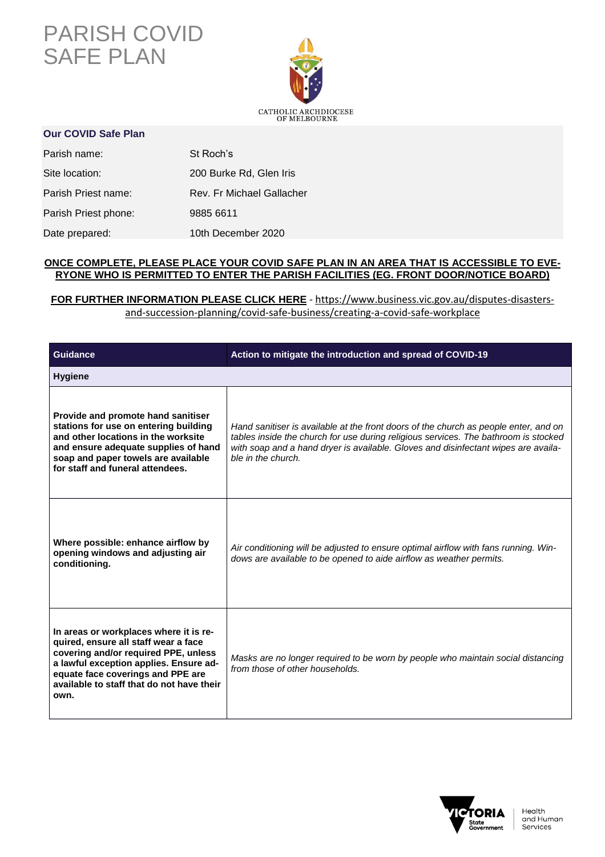## PARISH COVID SAFE PLAN



## **Our COVID Safe Plan**

| Parish name:         | St Roch's                 |
|----------------------|---------------------------|
| Site location:       | 200 Burke Rd, Glen Iris   |
| Parish Priest name:  | Rev. Fr Michael Gallacher |
| Parish Priest phone: | 9885 6611                 |
| Date prepared:       | 10th December 2020        |

## **ONCE COMPLETE, PLEASE PLACE YOUR COVID SAFE PLAN IN AN AREA THAT IS ACCESSIBLE TO EVE-RYONE WHO IS PERMITTED TO ENTER THE PARISH FACILITIES (EG. FRONT DOOR/NOTICE BOARD)**

## **FOR FURTHER INFORMATION PLEASE CLICK HERE** - [https://www.business.vic.gov.au/disputes-disasters](https://www.business.vic.gov.au/disputes-disasters-and-succession-planning/covid-safe-business/creating-a-covid-safe-workplace)[and-succession-planning/covid-safe-business/creating-a-covid-safe-workplace](https://www.business.vic.gov.au/disputes-disasters-and-succession-planning/covid-safe-business/creating-a-covid-safe-workplace)

| <b>Guidance</b>                                                                                                                                                                                                                                            | Action to mitigate the introduction and spread of COVID-19                                                                                                                                                                                                                              |
|------------------------------------------------------------------------------------------------------------------------------------------------------------------------------------------------------------------------------------------------------------|-----------------------------------------------------------------------------------------------------------------------------------------------------------------------------------------------------------------------------------------------------------------------------------------|
| <b>Hygiene</b>                                                                                                                                                                                                                                             |                                                                                                                                                                                                                                                                                         |
| Provide and promote hand sanitiser<br>stations for use on entering building<br>and other locations in the worksite<br>and ensure adequate supplies of hand<br>soap and paper towels are available<br>for staff and funeral attendees.                      | Hand sanitiser is available at the front doors of the church as people enter, and on<br>tables inside the church for use during religious services. The bathroom is stocked<br>with soap and a hand dryer is available. Gloves and disinfectant wipes are availa-<br>ble in the church. |
| Where possible: enhance airflow by<br>opening windows and adjusting air<br>conditioning.                                                                                                                                                                   | Air conditioning will be adjusted to ensure optimal airflow with fans running. Win-<br>dows are available to be opened to aide airflow as weather permits.                                                                                                                              |
| In areas or workplaces where it is re-<br>quired, ensure all staff wear a face<br>covering and/or required PPE, unless<br>a lawful exception applies. Ensure ad-<br>equate face coverings and PPE are<br>available to staff that do not have their<br>own. | Masks are no longer required to be worn by people who maintain social distancing<br>from those of other households.                                                                                                                                                                     |

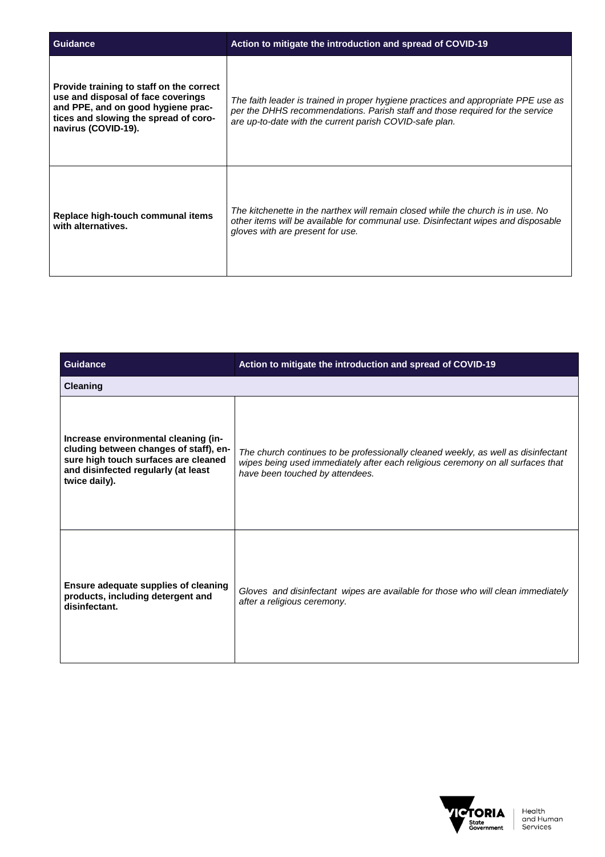| <b>Guidance</b>                                                                                                                                                                      | Action to mitigate the introduction and spread of COVID-19                                                                                                                                                                     |
|--------------------------------------------------------------------------------------------------------------------------------------------------------------------------------------|--------------------------------------------------------------------------------------------------------------------------------------------------------------------------------------------------------------------------------|
| Provide training to staff on the correct<br>use and disposal of face coverings<br>and PPE, and on good hygiene prac-<br>tices and slowing the spread of coro-<br>navirus (COVID-19). | The faith leader is trained in proper hygiene practices and appropriate PPE use as<br>per the DHHS recommendations. Parish staff and those required for the service<br>are up-to-date with the current parish COVID-safe plan. |
| Replace high-touch communal items<br>with alternatives.                                                                                                                              | The kitchenette in the narthex will remain closed while the church is in use. No<br>other items will be available for communal use. Disinfectant wipes and disposable<br>gloves with are present for use.                      |

| <b>Guidance</b>                                                                                                                                                                | Action to mitigate the introduction and spread of COVID-19                                                                                                                                              |
|--------------------------------------------------------------------------------------------------------------------------------------------------------------------------------|---------------------------------------------------------------------------------------------------------------------------------------------------------------------------------------------------------|
| <b>Cleaning</b>                                                                                                                                                                |                                                                                                                                                                                                         |
| Increase environmental cleaning (in-<br>cluding between changes of staff), en-<br>sure high touch surfaces are cleaned<br>and disinfected regularly (at least<br>twice daily). | The church continues to be professionally cleaned weekly, as well as disinfectant<br>wipes being used immediately after each religious ceremony on all surfaces that<br>have been touched by attendees. |
| Ensure adequate supplies of cleaning<br>products, including detergent and<br>disinfectant.                                                                                     | Gloves and disinfectant wipes are available for those who will clean immediately<br>after a religious ceremony.                                                                                         |

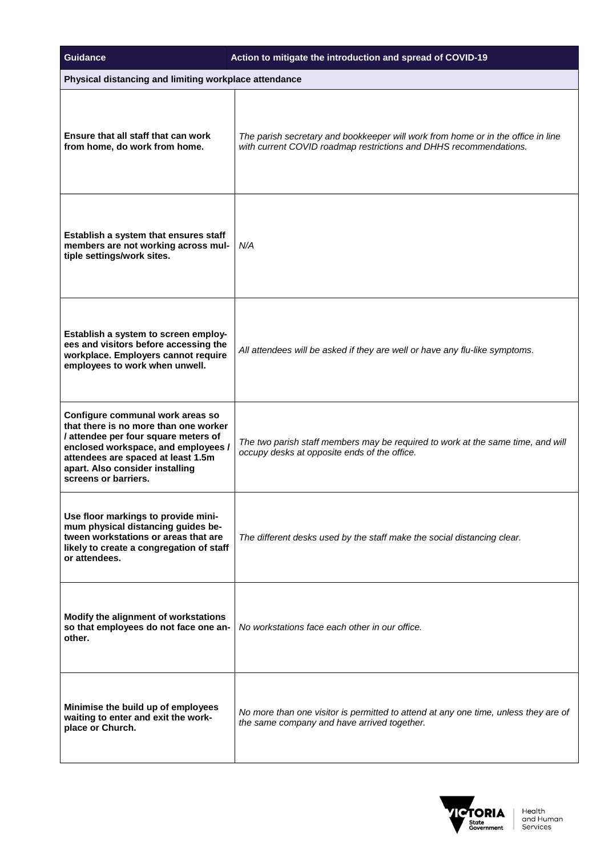| <b>Guidance</b>                                                                                                                                                                                                                                           | Action to mitigate the introduction and spread of COVID-19                                                                                            |
|-----------------------------------------------------------------------------------------------------------------------------------------------------------------------------------------------------------------------------------------------------------|-------------------------------------------------------------------------------------------------------------------------------------------------------|
| Physical distancing and limiting workplace attendance                                                                                                                                                                                                     |                                                                                                                                                       |
| Ensure that all staff that can work<br>from home, do work from home.                                                                                                                                                                                      | The parish secretary and bookkeeper will work from home or in the office in line<br>with current COVID roadmap restrictions and DHHS recommendations. |
| Establish a system that ensures staff<br>members are not working across mul-<br>tiple settings/work sites.                                                                                                                                                | N/A                                                                                                                                                   |
| Establish a system to screen employ-<br>ees and visitors before accessing the<br>workplace. Employers cannot require<br>employees to work when unwell.                                                                                                    | All attendees will be asked if they are well or have any flu-like symptoms.                                                                           |
| Configure communal work areas so<br>that there is no more than one worker<br>/ attendee per four square meters of<br>enclosed workspace, and employees /<br>attendees are spaced at least 1.5m<br>apart. Also consider installing<br>screens or barriers. | The two parish staff members may be required to work at the same time, and will<br>occupy desks at opposite ends of the office.                       |
| Use floor markings to provide mini-<br>mum physical distancing guides be-<br>tween workstations or areas that are<br>likely to create a congregation of staff<br>or attendees.                                                                            | The different desks used by the staff make the social distancing clear.                                                                               |
| Modify the alignment of workstations<br>so that employees do not face one an-<br>other.                                                                                                                                                                   | No workstations face each other in our office.                                                                                                        |
| Minimise the build up of employees<br>waiting to enter and exit the work-<br>place or Church.                                                                                                                                                             | No more than one visitor is permitted to attend at any one time, unless they are of<br>the same company and have arrived together.                    |

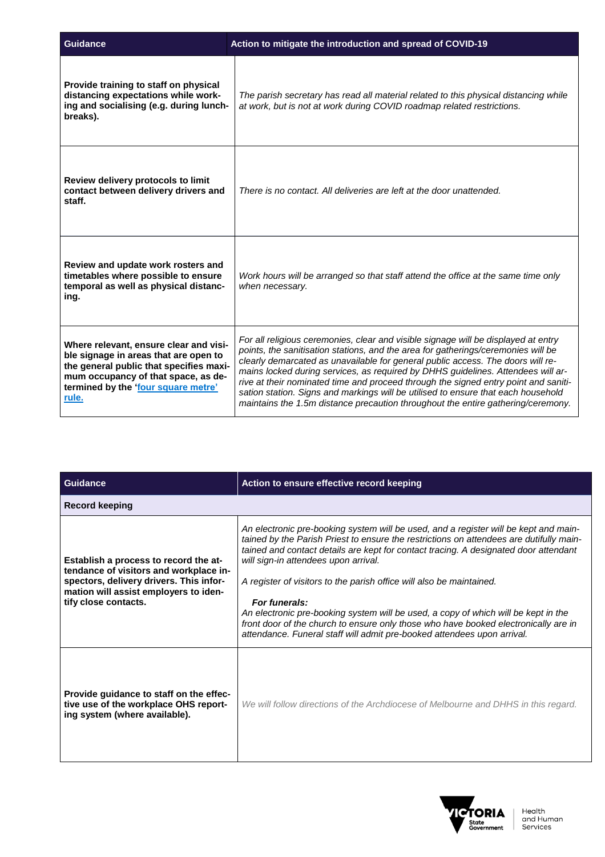| Guidance                                                                                                                                                                                                          | Action to mitigate the introduction and spread of COVID-19                                                                                                                                                                                                                                                                                                                                                                                                                                                                                                                                                     |
|-------------------------------------------------------------------------------------------------------------------------------------------------------------------------------------------------------------------|----------------------------------------------------------------------------------------------------------------------------------------------------------------------------------------------------------------------------------------------------------------------------------------------------------------------------------------------------------------------------------------------------------------------------------------------------------------------------------------------------------------------------------------------------------------------------------------------------------------|
| Provide training to staff on physical<br>distancing expectations while work-<br>ing and socialising (e.g. during lunch-<br>breaks).                                                                               | The parish secretary has read all material related to this physical distancing while<br>at work, but is not at work during COVID roadmap related restrictions.                                                                                                                                                                                                                                                                                                                                                                                                                                                 |
| Review delivery protocols to limit<br>contact between delivery drivers and<br>staff.                                                                                                                              | There is no contact. All deliveries are left at the door unattended.                                                                                                                                                                                                                                                                                                                                                                                                                                                                                                                                           |
| Review and update work rosters and<br>timetables where possible to ensure<br>temporal as well as physical distanc-<br>ing.                                                                                        | Work hours will be arranged so that staff attend the office at the same time only<br>when necessarv.                                                                                                                                                                                                                                                                                                                                                                                                                                                                                                           |
| Where relevant, ensure clear and visi-<br>ble signage in areas that are open to<br>the general public that specifies maxi-<br>mum occupancy of that space, as de-<br>termined by the 'four square metre'<br>rule. | For all religious ceremonies, clear and visible signage will be displayed at entry<br>points, the sanitisation stations, and the area for gatherings/ceremonies will be<br>clearly demarcated as unavailable for general public access. The doors will re-<br>mains locked during services, as required by DHHS guidelines. Attendees will ar-<br>rive at their nominated time and proceed through the signed entry point and saniti-<br>sation station. Signs and markings will be utilised to ensure that each household<br>maintains the 1.5m distance precaution throughout the entire gathering/ceremony. |

| <b>Guidance</b>                                                                                                                                                                             | Action to ensure effective record keeping                                                                                                                                                                                                                                                                                                                                                                                                                                                                                                                                                                                                                        |
|---------------------------------------------------------------------------------------------------------------------------------------------------------------------------------------------|------------------------------------------------------------------------------------------------------------------------------------------------------------------------------------------------------------------------------------------------------------------------------------------------------------------------------------------------------------------------------------------------------------------------------------------------------------------------------------------------------------------------------------------------------------------------------------------------------------------------------------------------------------------|
| <b>Record keeping</b>                                                                                                                                                                       |                                                                                                                                                                                                                                                                                                                                                                                                                                                                                                                                                                                                                                                                  |
| Establish a process to record the at-<br>tendance of visitors and workplace in-<br>spectors, delivery drivers. This infor-<br>mation will assist employers to iden-<br>tify close contacts. | An electronic pre-booking system will be used, and a register will be kept and main-<br>tained by the Parish Priest to ensure the restrictions on attendees are dutifully main-<br>tained and contact details are kept for contact tracing. A designated door attendant<br>will sign-in attendees upon arrival.<br>A register of visitors to the parish office will also be maintained.<br>For funerals:<br>An electronic pre-booking system will be used, a copy of which will be kept in the<br>front door of the church to ensure only those who have booked electronically are in<br>attendance. Funeral staff will admit pre-booked attendees upon arrival. |
| Provide guidance to staff on the effec-<br>tive use of the workplace OHS report-<br>ing system (where available).                                                                           | We will follow directions of the Archdiocese of Melbourne and DHHS in this regard.                                                                                                                                                                                                                                                                                                                                                                                                                                                                                                                                                                               |

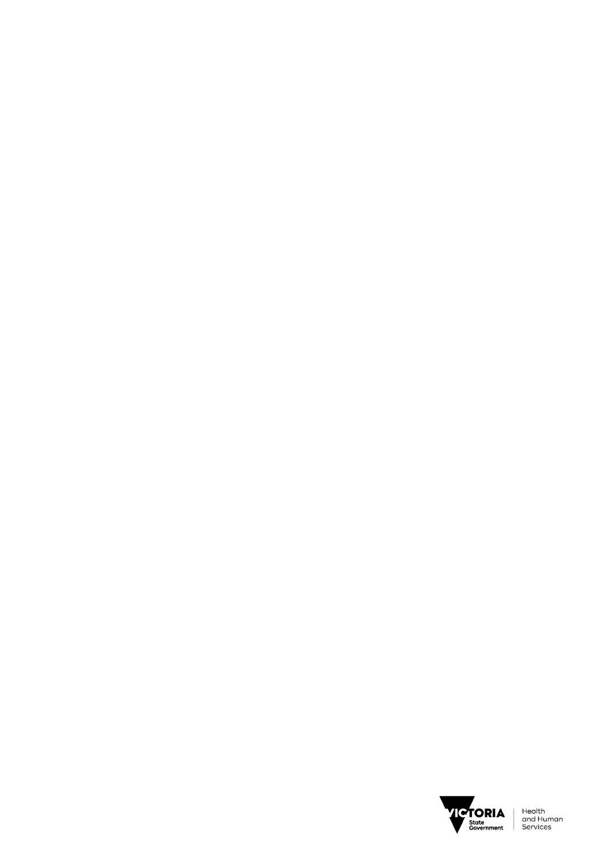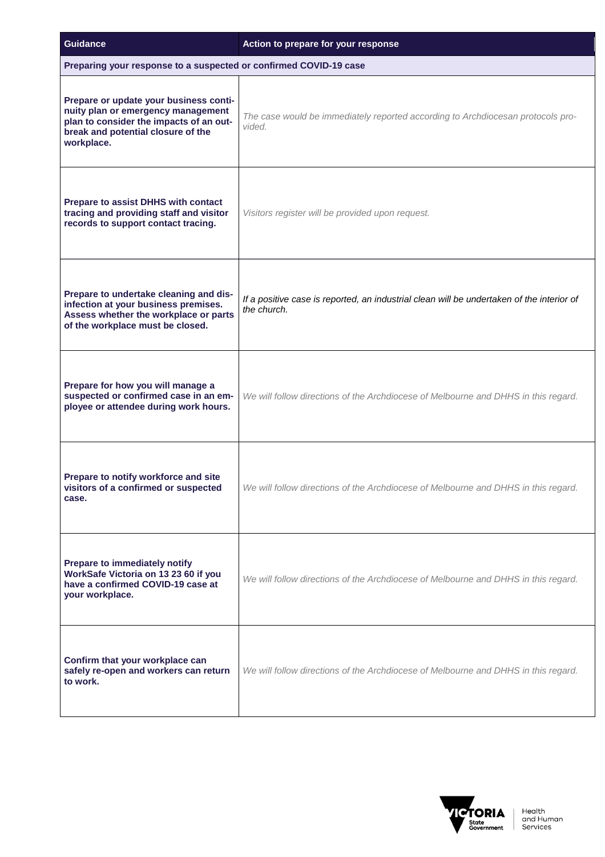| <b>Guidance</b>                                                                                                                                                             | Action to prepare for your response                                                                      |
|-----------------------------------------------------------------------------------------------------------------------------------------------------------------------------|----------------------------------------------------------------------------------------------------------|
| Preparing your response to a suspected or confirmed COVID-19 case                                                                                                           |                                                                                                          |
| Prepare or update your business conti-<br>nuity plan or emergency management<br>plan to consider the impacts of an out-<br>break and potential closure of the<br>workplace. | The case would be immediately reported according to Archdiocesan protocols pro-<br>vided.                |
| Prepare to assist DHHS with contact<br>tracing and providing staff and visitor<br>records to support contact tracing.                                                       | Visitors register will be provided upon request.                                                         |
| Prepare to undertake cleaning and dis-<br>infection at your business premises.<br>Assess whether the workplace or parts<br>of the workplace must be closed.                 | If a positive case is reported, an industrial clean will be undertaken of the interior of<br>the church. |
| Prepare for how you will manage a<br>suspected or confirmed case in an em-<br>ployee or attendee during work hours.                                                         | We will follow directions of the Archdiocese of Melbourne and DHHS in this regard.                       |
| Prepare to notify workforce and site<br>visitors of a confirmed or suspected<br>case.                                                                                       | We will follow directions of the Archdiocese of Melbourne and DHHS in this regard.                       |
| Prepare to immediately notify<br>WorkSafe Victoria on 13 23 60 if you<br>have a confirmed COVID-19 case at<br>your workplace.                                               | We will follow directions of the Archdiocese of Melbourne and DHHS in this regard.                       |
| Confirm that your workplace can<br>safely re-open and workers can return<br>to work.                                                                                        | We will follow directions of the Archdiocese of Melbourne and DHHS in this regard.                       |